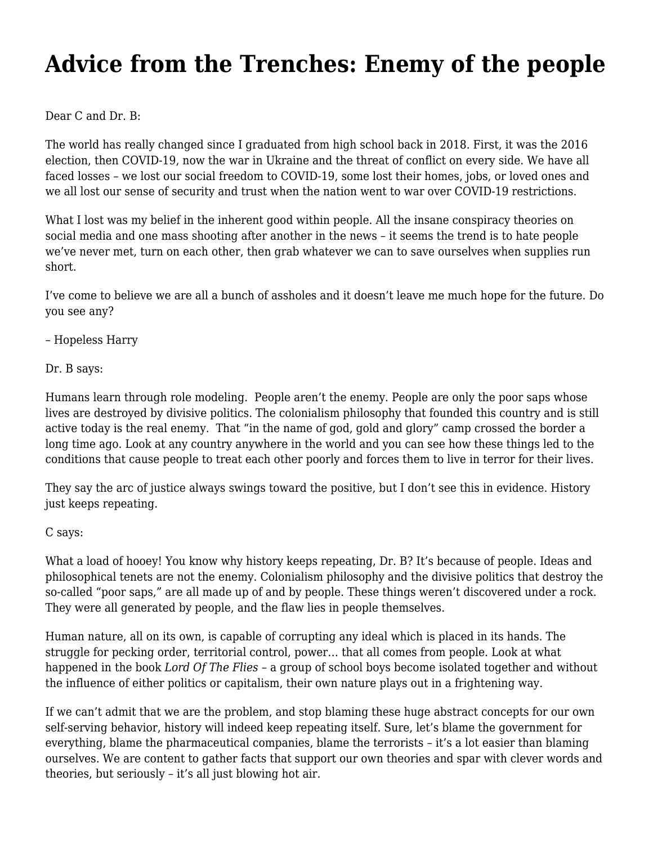## **[Advice from the Trenches: Enemy of the people](https://motifri.com/enemy-of-the-people/)**

Dear C and Dr. B:

The world has really changed since I graduated from high school back in 2018. First, it was the 2016 election, then COVID-19, now the war in Ukraine and the threat of conflict on every side. We have all faced losses – we lost our social freedom to COVID-19, some lost their homes, jobs, or loved ones and we all lost our sense of security and trust when the nation went to war over COVID-19 restrictions.

What I lost was my belief in the inherent good within people. All the insane conspiracy theories on social media and one mass shooting after another in the news – it seems the trend is to hate people we've never met, turn on each other, then grab whatever we can to save ourselves when supplies run short.

I've come to believe we are all a bunch of assholes and it doesn't leave me much hope for the future. Do you see any?

– Hopeless Harry

Dr. B says:

Humans learn through role modeling. People aren't the enemy. People are only the poor saps whose lives are destroyed by divisive politics. The colonialism philosophy that founded this country and is still active today is the real enemy. That "in the name of god, gold and glory" camp crossed the border a long time ago. Look at any country anywhere in the world and you can see how these things led to the conditions that cause people to treat each other poorly and forces them to live in terror for their lives.

They say the arc of justice always swings toward the positive, but I don't see this in evidence. History just keeps repeating.

## C says:

What a load of hooey! You know why history keeps repeating, Dr. B? It's because of people. Ideas and philosophical tenets are not the enemy. Colonialism philosophy and the divisive politics that destroy the so-called "poor saps," are all made up of and by people. These things weren't discovered under a rock. They were all generated by people, and the flaw lies in people themselves.

Human nature, all on its own, is capable of corrupting any ideal which is placed in its hands. The struggle for pecking order, territorial control, power... that all comes from people. Look at what happened in the book *Lord Of The Flies* – a group of school boys become isolated together and without the influence of either politics or capitalism, their own nature plays out in a frightening way.

If we can't admit that we are the problem, and stop blaming these huge abstract concepts for our own self-serving behavior, history will indeed keep repeating itself. Sure, let's blame the government for everything, blame the pharmaceutical companies, blame the terrorists – it's a lot easier than blaming ourselves. We are content to gather facts that support our own theories and spar with clever words and theories, but seriously – it's all just blowing hot air.